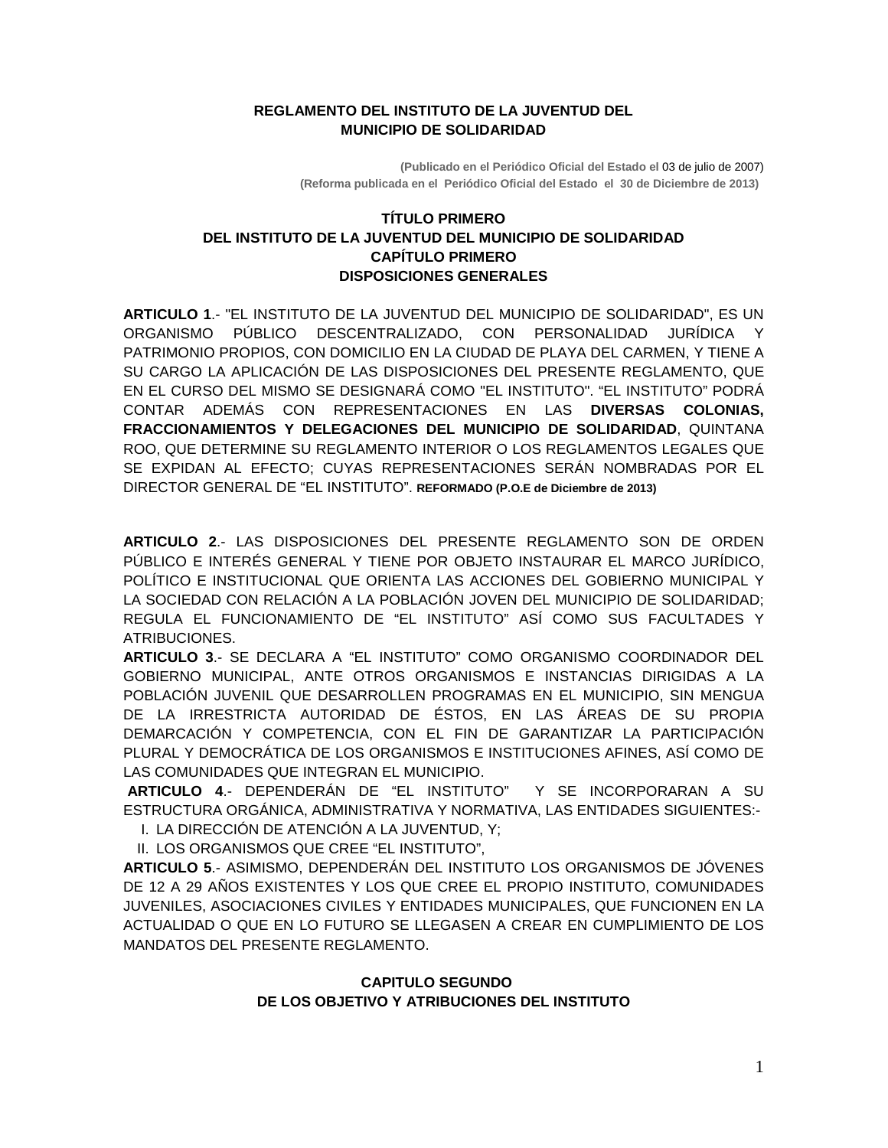#### **REGLAMENTO DEL INSTITUTO DE LA JUVENTUD DEL MUNICIPIO DE SOLIDARIDAD**

**(Publicado en el Periódico Oficial del Estado el** 03 de julio de 2007)  **(Reforma publicada en el Periódico Oficial del Estado el 30 de Diciembre de 2013)**

### **TÍTULO PRIMERO DEL INSTITUTO DE LA JUVENTUD DEL MUNICIPIO DE SOLIDARIDAD CAPÍTULO PRIMERO DISPOSICIONES GENERALES**

**ARTICULO 1**.- "EL INSTITUTO DE LA JUVENTUD DEL MUNICIPIO DE SOLIDARIDAD", ES UN ORGANISMO PÚBLICO DESCENTRALIZADO, CON PERSONALIDAD JURÍDICA Y PATRIMONIO PROPIOS, CON DOMICILIO EN LA CIUDAD DE PLAYA DEL CARMEN, Y TIENE A SU CARGO LA APLICACIÓN DE LAS DISPOSICIONES DEL PRESENTE REGLAMENTO, QUE EN EL CURSO DEL MISMO SE DESIGNARÁ COMO "EL INSTITUTO". "EL INSTITUTO" PODRÁ CONTAR ADEMÁS CON REPRESENTACIONES EN LAS **DIVERSAS COLONIAS, FRACCIONAMIENTOS Y DELEGACIONES DEL MUNICIPIO DE SOLIDARIDAD**, QUINTANA ROO, QUE DETERMINE SU REGLAMENTO INTERIOR O LOS REGLAMENTOS LEGALES QUE SE EXPIDAN AL EFECTO; CUYAS REPRESENTACIONES SERÁN NOMBRADAS POR EL DIRECTOR GENERAL DE "EL INSTITUTO". **REFORMADO (P.O.E de Diciembre de 2013)**

**ARTICULO 2**.- LAS DISPOSICIONES DEL PRESENTE REGLAMENTO SON DE ORDEN PÚBLICO E INTERÉS GENERAL Y TIENE POR OBJETO INSTAURAR EL MARCO JURÍDICO, POLÍTICO E INSTITUCIONAL QUE ORIENTA LAS ACCIONES DEL GOBIERNO MUNICIPAL Y LA SOCIEDAD CON RELACIÓN A LA POBLACIÓN JOVEN DEL MUNICIPIO DE SOLIDARIDAD; REGULA EL FUNCIONAMIENTO DE "EL INSTITUTO" ASÍ COMO SUS FACULTADES Y ATRIBUCIONES.

**ARTICULO 3**.- SE DECLARA A "EL INSTITUTO" COMO ORGANISMO COORDINADOR DEL GOBIERNO MUNICIPAL, ANTE OTROS ORGANISMOS E INSTANCIAS DIRIGIDAS A LA POBLACIÓN JUVENIL QUE DESARROLLEN PROGRAMAS EN EL MUNICIPIO, SIN MENGUA DE LA IRRESTRICTA AUTORIDAD DE ÉSTOS, EN LAS ÁREAS DE SU PROPIA DEMARCACIÓN Y COMPETENCIA, CON EL FIN DE GARANTIZAR LA PARTICIPACIÓN PLURAL Y DEMOCRÁTICA DE LOS ORGANISMOS E INSTITUCIONES AFINES, ASÍ COMO DE LAS COMUNIDADES QUE INTEGRAN EL MUNICIPIO.

**ARTICULO 4**.- DEPENDERÁN DE "EL INSTITUTO" Y SE INCORPORARAN A SU ESTRUCTURA ORGÁNICA, ADMINISTRATIVA Y NORMATIVA, LAS ENTIDADES SIGUIENTES:-

I. LA DIRECCIÓN DE ATENCIÓN A LA JUVENTUD, Y; II. LOS ORGANISMOS QUE CREE "EL INSTITUTO",

**ARTICULO 5**.- ASIMISMO, DEPENDERÁN DEL INSTITUTO LOS ORGANISMOS DE JÓVENES DE 12 A 29 AÑOS EXISTENTES Y LOS QUE CREE EL PROPIO INSTITUTO, COMUNIDADES JUVENILES, ASOCIACIONES CIVILES Y ENTIDADES MUNICIPALES, QUE FUNCIONEN EN LA ACTUALIDAD O QUE EN LO FUTURO SE LLEGASEN A CREAR EN CUMPLIMIENTO DE LOS MANDATOS DEL PRESENTE REGLAMENTO.

#### **CAPITULO SEGUNDO DE LOS OBJETIVO Y ATRIBUCIONES DEL INSTITUTO**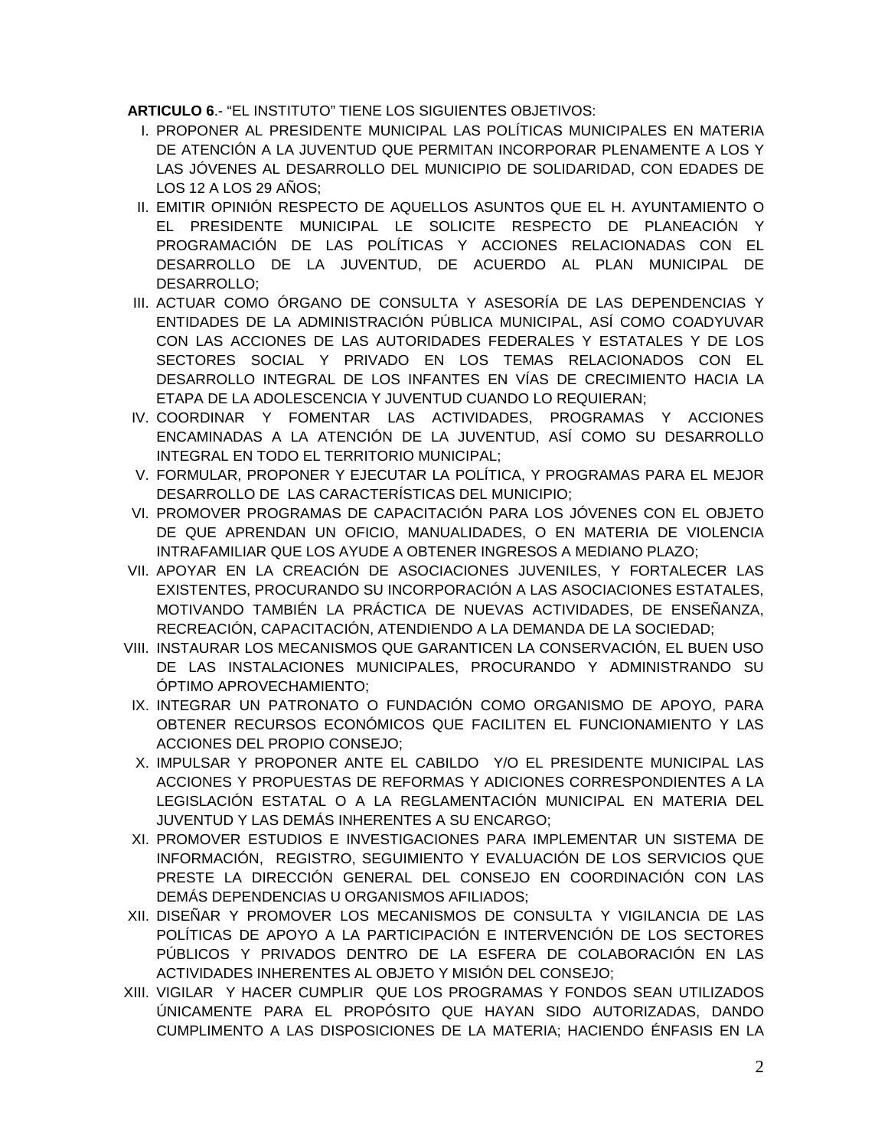**ARTICULO 6**.- "EL INSTITUTO" TIENE LOS SIGUIENTES OBJETIVOS:

- I. PROPONER AL PRESIDENTE MUNICIPAL LAS POLÍTICAS MUNICIPALES EN MATERIA DE ATENCIÓN A LA JUVENTUD QUE PERMITAN INCORPORAR PLENAMENTE A LOS Y LAS JÓVENES AL DESARROLLO DEL MUNICIPIO DE SOLIDARIDAD, CON EDADES DE LOS 12 A LOS 29 AÑOS;
- II. EMITIR OPINIÓN RESPECTO DE AQUELLOS ASUNTOS QUE EL H. AYUNTAMIENTO O EL PRESIDENTE MUNICIPAL LE SOLICITE RESPECTO DE PLANEACIÓN Y PROGRAMACIÓN DE LAS POLÍTICAS Y ACCIONES RELACIONADAS CON EL DESARROLLO DE LA JUVENTUD, DE ACUERDO AL PLAN MUNICIPAL DE DESARROLLO;
- III. ACTUAR COMO ÓRGANO DE CONSULTA Y ASESORÍA DE LAS DEPENDENCIAS Y ENTIDADES DE LA ADMINISTRACIÓN PÚBLICA MUNICIPAL, ASÍ COMO COADYUVAR CON LAS ACCIONES DE LAS AUTORIDADES FEDERALES Y ESTATALES Y DE LOS SECTORES SOCIAL Y PRIVADO EN LOS TEMAS RELACIONADOS CON EL DESARROLLO INTEGRAL DE LOS INFANTES EN VÍAS DE CRECIMIENTO HACIA LA ETAPA DE LA ADOLESCENCIA Y JUVENTUD CUANDO LO REQUIERAN;
- IV. COORDINAR Y FOMENTAR LAS ACTIVIDADES, PROGRAMAS Y ACCIONES ENCAMINADAS A LA ATENCIÓN DE LA JUVENTUD, ASÍ COMO SU DESARROLLO INTEGRAL EN TODO EL TERRITORIO MUNICIPAL;
- V. FORMULAR, PROPONER Y EJECUTAR LA POLÍTICA, Y PROGRAMAS PARA EL MEJOR DESARROLLO DE LAS CARACTERÍSTICAS DEL MUNICIPIO;
- VI. PROMOVER PROGRAMAS DE CAPACITACIÓN PARA LOS JÓVENES CON EL OBJETO DE QUE APRENDAN UN OFICIO, MANUALIDADES, O EN MATERIA DE VIOLENCIA INTRAFAMILIAR QUE LOS AYUDE A OBTENER INGRESOS A MEDIANO PLAZO;
- VII. APOYAR EN LA CREACIÓN DE ASOCIACIONES JUVENILES, Y FORTALECER LAS EXISTENTES, PROCURANDO SU INCORPORACIÓN A LAS ASOCIACIONES ESTATALES, MOTIVANDO TAMBIÉN LA PRÁCTICA DE NUEVAS ACTIVIDADES, DE ENSEÑANZA, RECREACIÓN, CAPACITACIÓN, ATENDIENDO A LA DEMANDA DE LA SOCIEDAD;
- VIII. INSTAURAR LOS MECANISMOS QUE GARANTICEN LA CONSERVACIÓN, EL BUEN USO DE LAS INSTALACIONES MUNICIPALES, PROCURANDO Y ADMINISTRANDO SU ÓPTIMO APROVECHAMIENTO;
- IX. INTEGRAR UN PATRONATO O FUNDACIÓN COMO ORGANISMO DE APOYO, PARA OBTENER RECURSOS ECONÓMICOS QUE FACILITEN EL FUNCIONAMIENTO Y LAS ACCIONES DEL PROPIO CONSEJO;
- X. IMPULSAR Y PROPONER ANTE EL CABILDO Y/O EL PRESIDENTE MUNICIPAL LAS ACCIONES Y PROPUESTAS DE REFORMAS Y ADICIONES CORRESPONDIENTES A LA LEGISLACIÓN ESTATAL O A LA REGLAMENTACIÓN MUNICIPAL EN MATERIA DEL JUVENTUD Y LAS DEMÁS INHERENTES A SU ENCARGO;
- XI. PROMOVER ESTUDIOS E INVESTIGACIONES PARA IMPLEMENTAR UN SISTEMA DE INFORMACIÓN, REGISTRO, SEGUIMIENTO Y EVALUACIÓN DE LOS SERVICIOS QUE PRESTE LA DIRECCIÓN GENERAL DEL CONSEJO EN COORDINACIÓN CON LAS DEMÁS DEPENDENCIAS U ORGANISMOS AFILIADOS;
- XII. DISEÑAR Y PROMOVER LOS MECANISMOS DE CONSULTA Y VIGILANCIA DE LAS POLÍTICAS DE APOYO A LA PARTICIPACIÓN E INTERVENCIÓN DE LOS SECTORES PÚBLICOS Y PRIVADOS DENTRO DE LA ESFERA DE COLABORACIÓN EN LAS ACTIVIDADES INHERENTES AL OBJETO Y MISIÓN DEL CONSEJO;
- XIII. VIGILAR Y HACER CUMPLIR QUE LOS PROGRAMAS Y FONDOS SEAN UTILIZADOS ÚNICAMENTE PARA EL PROPÓSITO QUE HAYAN SIDO AUTORIZADAS, DANDO CUMPLIMENTO A LAS DISPOSICIONES DE LA MATERIA; HACIENDO ÉNFASIS EN LA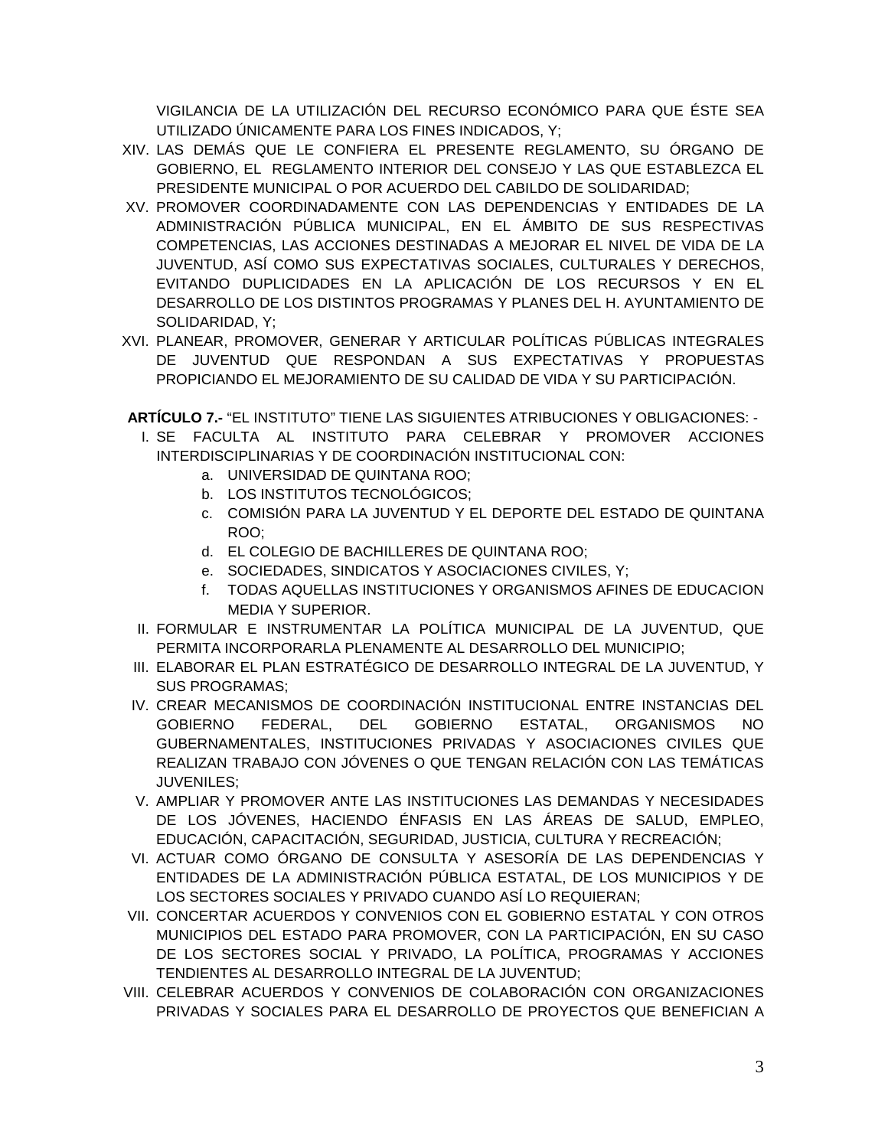VIGILANCIA DE LA UTILIZACIÓN DEL RECURSO ECONÓMICO PARA QUE ÉSTE SEA UTILIZADO ÚNICAMENTE PARA LOS FINES INDICADOS, Y;

- XIV. LAS DEMÁS QUE LE CONFIERA EL PRESENTE REGLAMENTO, SU ÓRGANO DE GOBIERNO, EL REGLAMENTO INTERIOR DEL CONSEJO Y LAS QUE ESTABLEZCA EL PRESIDENTE MUNICIPAL O POR ACUERDO DEL CABILDO DE SOLIDARIDAD;
- XV. PROMOVER COORDINADAMENTE CON LAS DEPENDENCIAS Y ENTIDADES DE LA ADMINISTRACIÓN PÚBLICA MUNICIPAL, EN EL ÁMBITO DE SUS RESPECTIVAS COMPETENCIAS, LAS ACCIONES DESTINADAS A MEJORAR EL NIVEL DE VIDA DE LA JUVENTUD, ASÍ COMO SUS EXPECTATIVAS SOCIALES, CULTURALES Y DERECHOS, EVITANDO DUPLICIDADES EN LA APLICACIÓN DE LOS RECURSOS Y EN EL DESARROLLO DE LOS DISTINTOS PROGRAMAS Y PLANES DEL H. AYUNTAMIENTO DE SOLIDARIDAD, Y;
- XVI. PLANEAR, PROMOVER, GENERAR Y ARTICULAR POLÍTICAS PÚBLICAS INTEGRALES DE JUVENTUD QUE RESPONDAN A SUS EXPECTATIVAS Y PROPUESTAS PROPICIANDO EL MEJORAMIENTO DE SU CALIDAD DE VIDA Y SU PARTICIPACIÓN.

**ARTÍCULO 7.-** "EL INSTITUTO" TIENE LAS SIGUIENTES ATRIBUCIONES Y OBLIGACIONES: -

- I. SE FACULTA AL INSTITUTO PARA CELEBRAR Y PROMOVER ACCIONES INTERDISCIPLINARIAS Y DE COORDINACIÓN INSTITUCIONAL CON:
	- a. UNIVERSIDAD DE QUINTANA ROO;
	- b. LOS INSTITUTOS TECNOLÓGICOS;
	- c. COMISIÓN PARA LA JUVENTUD Y EL DEPORTE DEL ESTADO DE QUINTANA ROO;
	- d. EL COLEGIO DE BACHILLERES DE QUINTANA ROO;
	- e. SOCIEDADES, SINDICATOS Y ASOCIACIONES CIVILES, Y;
	- f. TODAS AQUELLAS INSTITUCIONES Y ORGANISMOS AFINES DE EDUCACION MEDIA Y SUPERIOR.
- II. FORMULAR E INSTRUMENTAR LA POLÍTICA MUNICIPAL DE LA JUVENTUD, QUE PERMITA INCORPORARLA PLENAMENTE AL DESARROLLO DEL MUNICIPIO;
- III. ELABORAR EL PLAN ESTRATÉGICO DE DESARROLLO INTEGRAL DE LA JUVENTUD, Y SUS PROGRAMAS;
- IV. CREAR MECANISMOS DE COORDINACIÓN INSTITUCIONAL ENTRE INSTANCIAS DEL GOBIERNO FEDERAL, DEL GOBIERNO ESTATAL, ORGANISMOS NO GUBERNAMENTALES, INSTITUCIONES PRIVADAS Y ASOCIACIONES CIVILES QUE REALIZAN TRABAJO CON JÓVENES O QUE TENGAN RELACIÓN CON LAS TEMÁTICAS JUVENILES;
- V. AMPLIAR Y PROMOVER ANTE LAS INSTITUCIONES LAS DEMANDAS Y NECESIDADES DE LOS JÓVENES, HACIENDO ÉNFASIS EN LAS ÁREAS DE SALUD, EMPLEO, EDUCACIÓN, CAPACITACIÓN, SEGURIDAD, JUSTICIA, CULTURA Y RECREACIÓN;
- VI. ACTUAR COMO ÓRGANO DE CONSULTA Y ASESORÍA DE LAS DEPENDENCIAS Y ENTIDADES DE LA ADMINISTRACIÓN PÚBLICA ESTATAL, DE LOS MUNICIPIOS Y DE LOS SECTORES SOCIALES Y PRIVADO CUANDO ASÍ LO REQUIERAN;
- VII. CONCERTAR ACUERDOS Y CONVENIOS CON EL GOBIERNO ESTATAL Y CON OTROS MUNICIPIOS DEL ESTADO PARA PROMOVER, CON LA PARTICIPACIÓN, EN SU CASO DE LOS SECTORES SOCIAL Y PRIVADO, LA POLÍTICA, PROGRAMAS Y ACCIONES TENDIENTES AL DESARROLLO INTEGRAL DE LA JUVENTUD;
- VIII. CELEBRAR ACUERDOS Y CONVENIOS DE COLABORACIÓN CON ORGANIZACIONES PRIVADAS Y SOCIALES PARA EL DESARROLLO DE PROYECTOS QUE BENEFICIAN A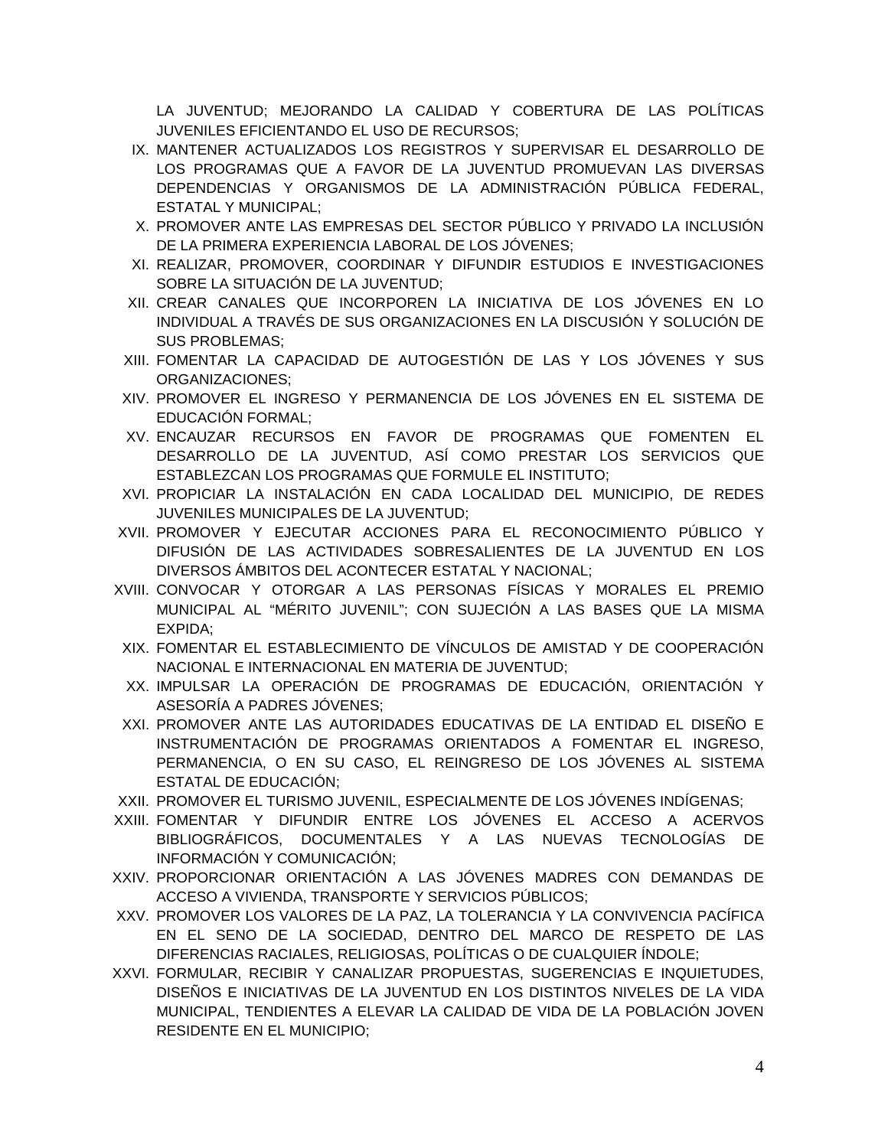LA JUVENTUD; MEJORANDO LA CALIDAD Y COBERTURA DE LAS POLÍTICAS JUVENILES EFICIENTANDO EL USO DE RECURSOS;

- IX. MANTENER ACTUALIZADOS LOS REGISTROS Y SUPERVISAR EL DESARROLLO DE LOS PROGRAMAS QUE A FAVOR DE LA JUVENTUD PROMUEVAN LAS DIVERSAS DEPENDENCIAS Y ORGANISMOS DE LA ADMINISTRACIÓN PÚBLICA FEDERAL, ESTATAL Y MUNICIPAL;
- X. PROMOVER ANTE LAS EMPRESAS DEL SECTOR PÚBLICO Y PRIVADO LA INCLUSIÓN DE LA PRIMERA EXPERIENCIA LABORAL DE LOS JÓVENES;
- XI. REALIZAR, PROMOVER, COORDINAR Y DIFUNDIR ESTUDIOS E INVESTIGACIONES SOBRE LA SITUACIÓN DE LA JUVENTUD;
- XII. CREAR CANALES QUE INCORPOREN LA INICIATIVA DE LOS JÓVENES EN LO INDIVIDUAL A TRAVÉS DE SUS ORGANIZACIONES EN LA DISCUSIÓN Y SOLUCIÓN DE SUS PROBLEMAS;
- XIII. FOMENTAR LA CAPACIDAD DE AUTOGESTIÓN DE LAS Y LOS JÓVENES Y SUS ORGANIZACIONES;
- XIV. PROMOVER EL INGRESO Y PERMANENCIA DE LOS JÓVENES EN EL SISTEMA DE EDUCACIÓN FORMAL;
- XV. ENCAUZAR RECURSOS EN FAVOR DE PROGRAMAS QUE FOMENTEN EL DESARROLLO DE LA JUVENTUD, ASÍ COMO PRESTAR LOS SERVICIOS QUE ESTABLEZCAN LOS PROGRAMAS QUE FORMULE EL INSTITUTO;
- XVI. PROPICIAR LA INSTALACIÓN EN CADA LOCALIDAD DEL MUNICIPIO, DE REDES JUVENILES MUNICIPALES DE LA JUVENTUD;
- XVII. PROMOVER Y EJECUTAR ACCIONES PARA EL RECONOCIMIENTO PÚBLICO Y DIFUSIÓN DE LAS ACTIVIDADES SOBRESALIENTES DE LA JUVENTUD EN LOS DIVERSOS ÁMBITOS DEL ACONTECER ESTATAL Y NACIONAL;
- XVIII. CONVOCAR Y OTORGAR A LAS PERSONAS FÍSICAS Y MORALES EL PREMIO MUNICIPAL AL "MÉRITO JUVENIL"; CON SUJECIÓN A LAS BASES QUE LA MISMA EXPIDA;
- XIX. FOMENTAR EL ESTABLECIMIENTO DE VÍNCULOS DE AMISTAD Y DE COOPERACIÓN NACIONAL E INTERNACIONAL EN MATERIA DE JUVENTUD;
- XX. IMPULSAR LA OPERACIÓN DE PROGRAMAS DE EDUCACIÓN, ORIENTACIÓN Y ASESORÍA A PADRES JÓVENES;
- XXI. PROMOVER ANTE LAS AUTORIDADES EDUCATIVAS DE LA ENTIDAD EL DISEÑO E INSTRUMENTACIÓN DE PROGRAMAS ORIENTADOS A FOMENTAR EL INGRESO, PERMANENCIA, O EN SU CASO, EL REINGRESO DE LOS JÓVENES AL SISTEMA ESTATAL DE EDUCACIÓN;
- XXII. PROMOVER EL TURISMO JUVENIL, ESPECIALMENTE DE LOS JÓVENES INDÍGENAS;
- XXIII. FOMENTAR Y DIFUNDIR ENTRE LOS JÓVENES EL ACCESO A ACERVOS BIBLIOGRÁFICOS, DOCUMENTALES Y A LAS NUEVAS TECNOLOGÍAS DE INFORMACIÓN Y COMUNICACIÓN;
- XXIV. PROPORCIONAR ORIENTACIÓN A LAS JÓVENES MADRES CON DEMANDAS DE ACCESO A VIVIENDA, TRANSPORTE Y SERVICIOS PÚBLICOS;
- XXV. PROMOVER LOS VALORES DE LA PAZ, LA TOLERANCIA Y LA CONVIVENCIA PACÍFICA EN EL SENO DE LA SOCIEDAD, DENTRO DEL MARCO DE RESPETO DE LAS DIFERENCIAS RACIALES, RELIGIOSAS, POLÍTICAS O DE CUALQUIER ÍNDOLE;
- XXVI. FORMULAR, RECIBIR Y CANALIZAR PROPUESTAS, SUGERENCIAS E INQUIETUDES, DISEÑOS E INICIATIVAS DE LA JUVENTUD EN LOS DISTINTOS NIVELES DE LA VIDA MUNICIPAL, TENDIENTES A ELEVAR LA CALIDAD DE VIDA DE LA POBLACIÓN JOVEN RESIDENTE EN EL MUNICIPIO;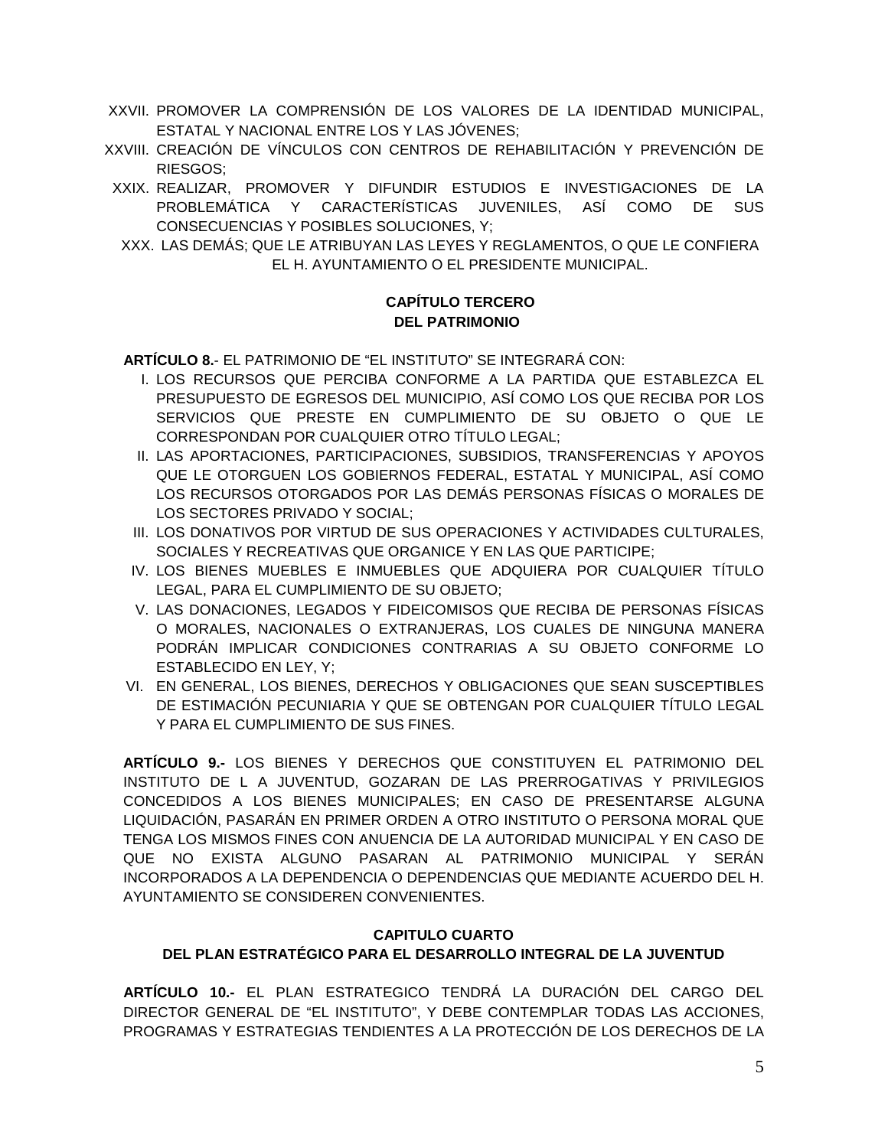- XXVII. PROMOVER LA COMPRENSIÓN DE LOS VALORES DE LA IDENTIDAD MUNICIPAL, ESTATAL Y NACIONAL ENTRE LOS Y LAS JÓVENES;
- XXVIII. CREACIÓN DE VÍNCULOS CON CENTROS DE REHABILITACIÓN Y PREVENCIÓN DE RIESGOS;
- XXIX. REALIZAR, PROMOVER Y DIFUNDIR ESTUDIOS E INVESTIGACIONES DE LA PROBLEMÁTICA Y CARACTERÍSTICAS JUVENILES, ASÍ COMO DE SUS CONSECUENCIAS Y POSIBLES SOLUCIONES, Y;
- XXX. LAS DEMÁS; QUE LE ATRIBUYAN LAS LEYES Y REGLAMENTOS, O QUE LE CONFIERA EL H. AYUNTAMIENTO O EL PRESIDENTE MUNICIPAL.

### **CAPÍTULO TERCERO DEL PATRIMONIO**

**ARTÍCULO 8.**- EL PATRIMONIO DE "EL INSTITUTO" SE INTEGRARÁ CON:

- I. LOS RECURSOS QUE PERCIBA CONFORME A LA PARTIDA QUE ESTABLEZCA EL PRESUPUESTO DE EGRESOS DEL MUNICIPIO, ASÍ COMO LOS QUE RECIBA POR LOS SERVICIOS QUE PRESTE EN CUMPLIMIENTO DE SU OBJETO O QUE LE CORRESPONDAN POR CUALQUIER OTRO TÍTULO LEGAL;
- II. LAS APORTACIONES, PARTICIPACIONES, SUBSIDIOS, TRANSFERENCIAS Y APOYOS QUE LE OTORGUEN LOS GOBIERNOS FEDERAL, ESTATAL Y MUNICIPAL, ASÍ COMO LOS RECURSOS OTORGADOS POR LAS DEMÁS PERSONAS FÍSICAS O MORALES DE LOS SECTORES PRIVADO Y SOCIAL;
- III. LOS DONATIVOS POR VIRTUD DE SUS OPERACIONES Y ACTIVIDADES CULTURALES, SOCIALES Y RECREATIVAS QUE ORGANICE Y EN LAS QUE PARTICIPE;
- IV. LOS BIENES MUEBLES E INMUEBLES QUE ADQUIERA POR CUALQUIER TÍTULO LEGAL, PARA EL CUMPLIMIENTO DE SU OBJETO;
- V. LAS DONACIONES, LEGADOS Y FIDEICOMISOS QUE RECIBA DE PERSONAS FÍSICAS O MORALES, NACIONALES O EXTRANJERAS, LOS CUALES DE NINGUNA MANERA PODRÁN IMPLICAR CONDICIONES CONTRARIAS A SU OBJETO CONFORME LO ESTABLECIDO EN LEY, Y;
- VI. EN GENERAL, LOS BIENES, DERECHOS Y OBLIGACIONES QUE SEAN SUSCEPTIBLES DE ESTIMACIÓN PECUNIARIA Y QUE SE OBTENGAN POR CUALQUIER TÍTULO LEGAL Y PARA EL CUMPLIMIENTO DE SUS FINES.

**ARTÍCULO 9.-** LOS BIENES Y DERECHOS QUE CONSTITUYEN EL PATRIMONIO DEL INSTITUTO DE L A JUVENTUD, GOZARAN DE LAS PRERROGATIVAS Y PRIVILEGIOS CONCEDIDOS A LOS BIENES MUNICIPALES; EN CASO DE PRESENTARSE ALGUNA LIQUIDACIÓN, PASARÁN EN PRIMER ORDEN A OTRO INSTITUTO O PERSONA MORAL QUE TENGA LOS MISMOS FINES CON ANUENCIA DE LA AUTORIDAD MUNICIPAL Y EN CASO DE QUE NO EXISTA ALGUNO PASARAN AL PATRIMONIO MUNICIPAL Y SERÁN INCORPORADOS A LA DEPENDENCIA O DEPENDENCIAS QUE MEDIANTE ACUERDO DEL H. AYUNTAMIENTO SE CONSIDEREN CONVENIENTES.

### **CAPITULO CUARTO DEL PLAN ESTRATÉGICO PARA EL DESARROLLO INTEGRAL DE LA JUVENTUD**

**ARTÍCULO 10.-** EL PLAN ESTRATEGICO TENDRÁ LA DURACIÓN DEL CARGO DEL DIRECTOR GENERAL DE "EL INSTITUTO", Y DEBE CONTEMPLAR TODAS LAS ACCIONES, PROGRAMAS Y ESTRATEGIAS TENDIENTES A LA PROTECCIÓN DE LOS DERECHOS DE LA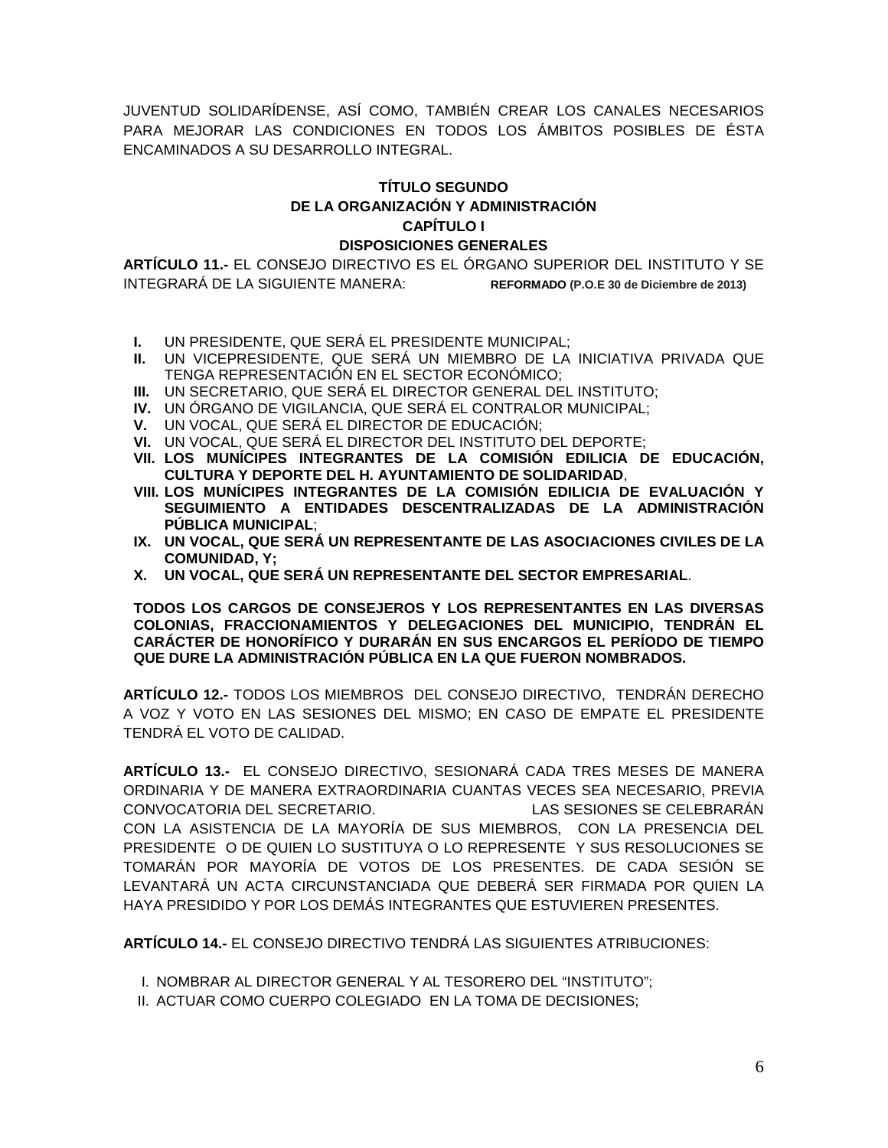JUVENTUD SOLIDARÍDENSE, ASÍ COMO, TAMBIÉN CREAR LOS CANALES NECESARIOS PARA MEJORAR LAS CONDICIONES EN TODOS LOS ÁMBITOS POSIBLES DE ÉSTA ENCAMINADOS A SU DESARROLLO INTEGRAL.

### **TÍTULO SEGUNDO DE LA ORGANIZACIÓN Y ADMINISTRACIÓN CAPÍTULO I DISPOSICIONES GENERALES**

**ARTÍCULO 11.-** EL CONSEJO DIRECTIVO ES EL ÓRGANO SUPERIOR DEL INSTITUTO Y SE INTEGRARÁ DE LA SIGUIENTE MANERA: **REFORMADO (P.O.E 30 de Diciembre de 2013)**

- **I.** UN PRESIDENTE, QUE SERÁ EL PRESIDENTE MUNICIPAL;
- **II.** UN VICEPRESIDENTE, QUE SERÁ UN MIEMBRO DE LA INICIATIVA PRIVADA QUE TENGA REPRESENTACIÓN EN EL SECTOR ECONÓMICO;
- **III.** UN SECRETARIO, QUE SERÁ EL DIRECTOR GENERAL DEL INSTITUTO;
- **IV.** UN ÓRGANO DE VIGILANCIA, QUE SERÁ EL CONTRALOR MUNICIPAL;
- **V.** UN VOCAL, QUE SERÁ EL DIRECTOR DE EDUCACIÓN;
- **VI.** UN VOCAL, QUE SERÁ EL DIRECTOR DEL INSTITUTO DEL DEPORTE;
- **VII. LOS MUNÍCIPES INTEGRANTES DE LA COMISIÓN EDILICIA DE EDUCACIÓN, CULTURA Y DEPORTE DEL H. AYUNTAMIENTO DE SOLIDARIDAD**,
- **VIII. LOS MUNÍCIPES INTEGRANTES DE LA COMISIÓN EDILICIA DE EVALUACIÓN Y SEGUIMIENTO A ENTIDADES DESCENTRALIZADAS DE LA ADMINISTRACIÓN PÚBLICA MUNICIPAL**;
- **IX. UN VOCAL, QUE SERÁ UN REPRESENTANTE DE LAS ASOCIACIONES CIVILES DE LA COMUNIDAD, Y;**
- **X. UN VOCAL, QUE SERÁ UN REPRESENTANTE DEL SECTOR EMPRESARIAL**.

**TODOS LOS CARGOS DE CONSEJEROS Y LOS REPRESENTANTES EN LAS DIVERSAS COLONIAS, FRACCIONAMIENTOS Y DELEGACIONES DEL MUNICIPIO, TENDRÁN EL CARÁCTER DE HONORÍFICO Y DURARÁN EN SUS ENCARGOS EL PERÍODO DE TIEMPO QUE DURE LA ADMINISTRACIÓN PÚBLICA EN LA QUE FUERON NOMBRADOS.** 

**ARTÍCULO 12.-** TODOS LOS MIEMBROS DEL CONSEJO DIRECTIVO, TENDRÁN DERECHO A VOZ Y VOTO EN LAS SESIONES DEL MISMO; EN CASO DE EMPATE EL PRESIDENTE TENDRÁ EL VOTO DE CALIDAD.

**ARTÍCULO 13.-** EL CONSEJO DIRECTIVO, SESIONARÁ CADA TRES MESES DE MANERA ORDINARIA Y DE MANERA EXTRAORDINARIA CUANTAS VECES SEA NECESARIO, PREVIA CONVOCATORIA DEL SECRETARIO. LAS SESIONES SE CELEBRARÁN CON LA ASISTENCIA DE LA MAYORÍA DE SUS MIEMBROS, CON LA PRESENCIA DEL PRESIDENTE O DE QUIEN LO SUSTITUYA O LO REPRESENTE Y SUS RESOLUCIONES SE TOMARÁN POR MAYORÍA DE VOTOS DE LOS PRESENTES. DE CADA SESIÓN SE LEVANTARÁ UN ACTA CIRCUNSTANCIADA QUE DEBERÁ SER FIRMADA POR QUIEN LA HAYA PRESIDIDO Y POR LOS DEMÁS INTEGRANTES QUE ESTUVIEREN PRESENTES.

**ARTÍCULO 14.-** EL CONSEJO DIRECTIVO TENDRÁ LAS SIGUIENTES ATRIBUCIONES:

- I. NOMBRAR AL DIRECTOR GENERAL Y AL TESORERO DEL "INSTITUTO";
- II. ACTUAR COMO CUERPO COLEGIADO EN LA TOMA DE DECISIONES;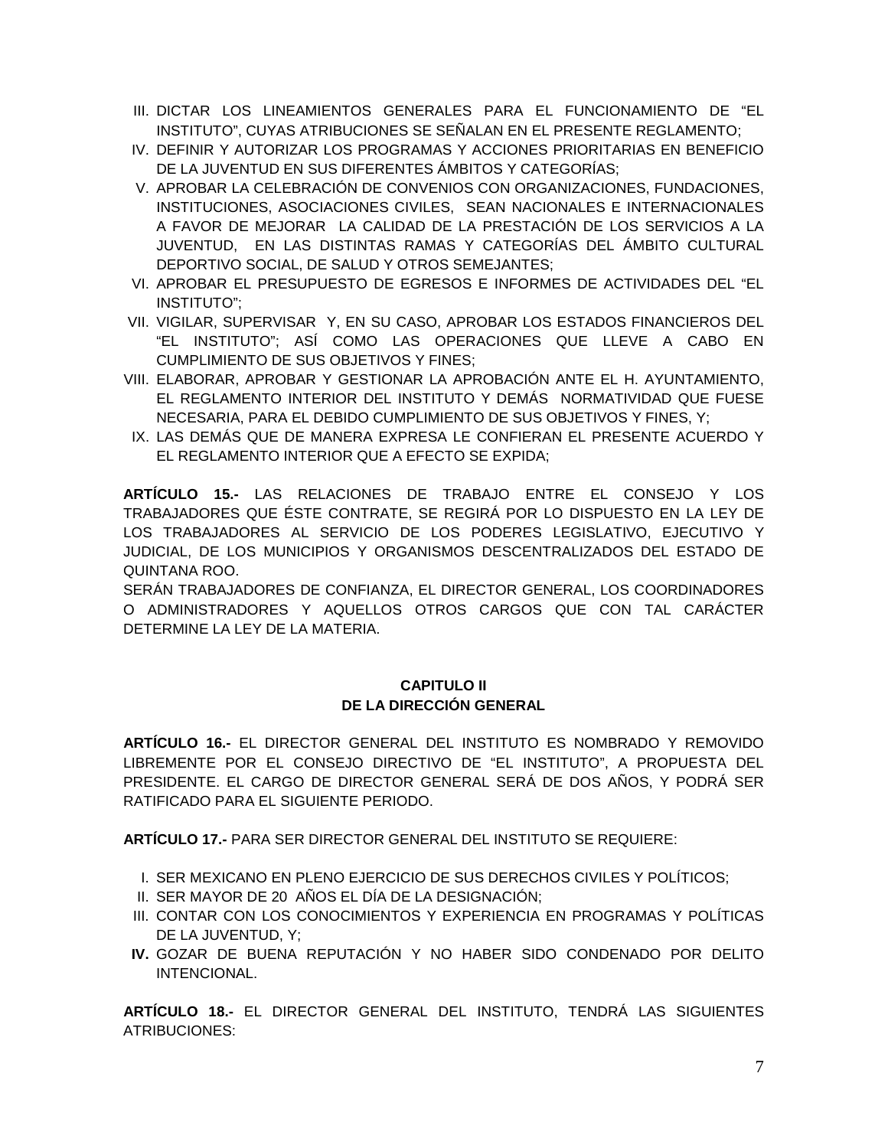- III. DICTAR LOS LINEAMIENTOS GENERALES PARA EL FUNCIONAMIENTO DE "EL INSTITUTO", CUYAS ATRIBUCIONES SE SEÑALAN EN EL PRESENTE REGLAMENTO;
- IV. DEFINIR Y AUTORIZAR LOS PROGRAMAS Y ACCIONES PRIORITARIAS EN BENEFICIO DE LA JUVENTUD EN SUS DIFERENTES ÁMBITOS Y CATEGORÍAS;
- V. APROBAR LA CELEBRACIÓN DE CONVENIOS CON ORGANIZACIONES, FUNDACIONES, INSTITUCIONES, ASOCIACIONES CIVILES, SEAN NACIONALES E INTERNACIONALES A FAVOR DE MEJORAR LA CALIDAD DE LA PRESTACIÓN DE LOS SERVICIOS A LA JUVENTUD, EN LAS DISTINTAS RAMAS Y CATEGORÍAS DEL ÁMBITO CULTURAL DEPORTIVO SOCIAL, DE SALUD Y OTROS SEMEJANTES;
- VI. APROBAR EL PRESUPUESTO DE EGRESOS E INFORMES DE ACTIVIDADES DEL "EL INSTITUTO";
- VII. VIGILAR, SUPERVISAR Y, EN SU CASO, APROBAR LOS ESTADOS FINANCIEROS DEL "EL INSTITUTO"; ASÍ COMO LAS OPERACIONES QUE LLEVE A CABO EN CUMPLIMIENTO DE SUS OBJETIVOS Y FINES;
- VIII. ELABORAR, APROBAR Y GESTIONAR LA APROBACIÓN ANTE EL H. AYUNTAMIENTO, EL REGLAMENTO INTERIOR DEL INSTITUTO Y DEMÁS NORMATIVIDAD QUE FUESE NECESARIA, PARA EL DEBIDO CUMPLIMIENTO DE SUS OBJETIVOS Y FINES, Y;
- IX. LAS DEMÁS QUE DE MANERA EXPRESA LE CONFIERAN EL PRESENTE ACUERDO Y EL REGLAMENTO INTERIOR QUE A EFECTO SE EXPIDA;

**ARTÍCULO 15.-** LAS RELACIONES DE TRABAJO ENTRE EL CONSEJO Y LOS TRABAJADORES QUE ÉSTE CONTRATE, SE REGIRÁ POR LO DISPUESTO EN LA LEY DE LOS TRABAJADORES AL SERVICIO DE LOS PODERES LEGISLATIVO, EJECUTIVO Y JUDICIAL, DE LOS MUNICIPIOS Y ORGANISMOS DESCENTRALIZADOS DEL ESTADO DE QUINTANA ROO.

SERÁN TRABAJADORES DE CONFIANZA, EL DIRECTOR GENERAL, LOS COORDINADORES O ADMINISTRADORES Y AQUELLOS OTROS CARGOS QUE CON TAL CARÁCTER DETERMINE LA LEY DE LA MATERIA.

#### **CAPITULO II DE LA DIRECCIÓN GENERAL**

**ARTÍCULO 16.-** EL DIRECTOR GENERAL DEL INSTITUTO ES NOMBRADO Y REMOVIDO LIBREMENTE POR EL CONSEJO DIRECTIVO DE "EL INSTITUTO", A PROPUESTA DEL PRESIDENTE. EL CARGO DE DIRECTOR GENERAL SERÁ DE DOS AÑOS, Y PODRÁ SER RATIFICADO PARA EL SIGUIENTE PERIODO.

**ARTÍCULO 17.-** PARA SER DIRECTOR GENERAL DEL INSTITUTO SE REQUIERE:

- I. SER MEXICANO EN PLENO EJERCICIO DE SUS DERECHOS CIVILES Y POLÍTICOS;
- II. SER MAYOR DE 20 AÑOS EL DÍA DE LA DESIGNACIÓN;
- III. CONTAR CON LOS CONOCIMIENTOS Y EXPERIENCIA EN PROGRAMAS Y POLÍTICAS DE LA JUVENTUD, Y;
- **IV.** GOZAR DE BUENA REPUTACIÓN Y NO HABER SIDO CONDENADO POR DELITO INTENCIONAL.

**ARTÍCULO 18.-** EL DIRECTOR GENERAL DEL INSTITUTO, TENDRÁ LAS SIGUIENTES ATRIBUCIONES: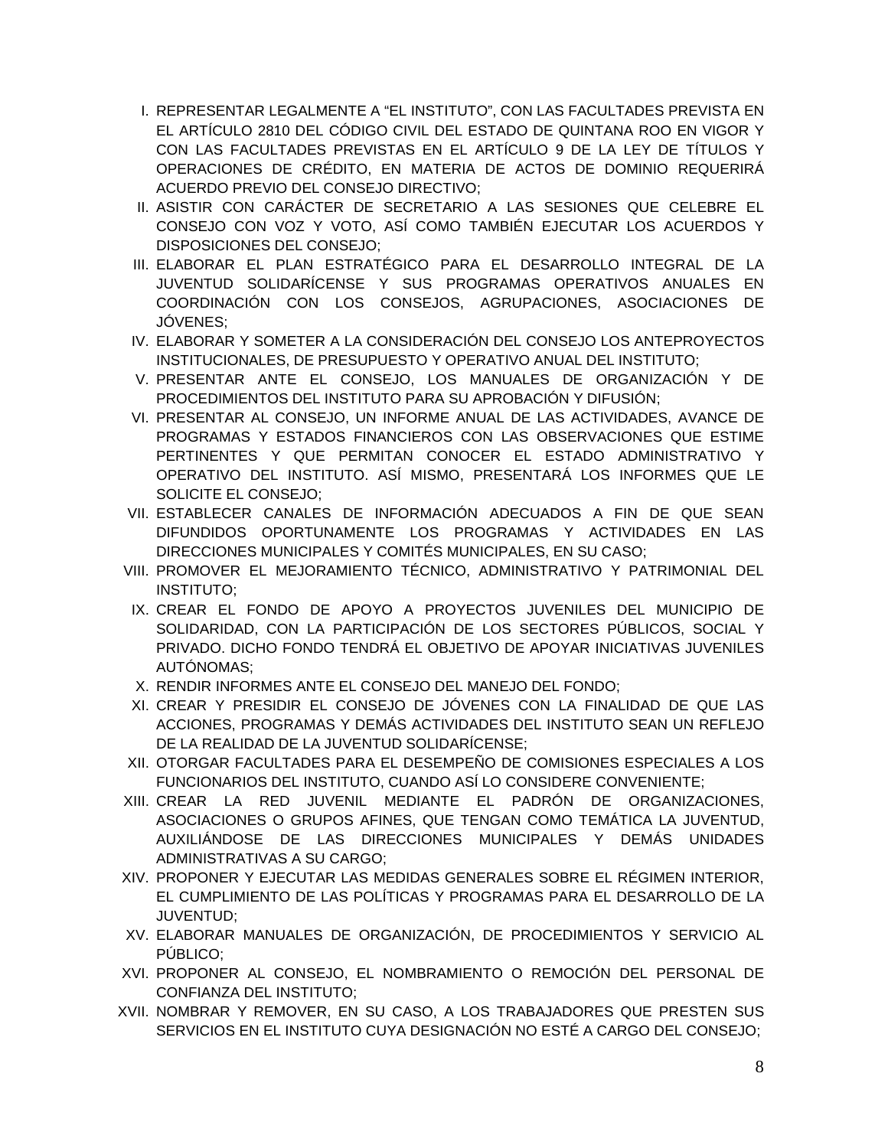- I. REPRESENTAR LEGALMENTE A "EL INSTITUTO", CON LAS FACULTADES PREVISTA EN EL ARTÍCULO 2810 DEL CÓDIGO CIVIL DEL ESTADO DE QUINTANA ROO EN VIGOR Y CON LAS FACULTADES PREVISTAS EN EL ARTÍCULO 9 DE LA LEY DE TÍTULOS Y OPERACIONES DE CRÉDITO, EN MATERIA DE ACTOS DE DOMINIO REQUERIRÁ ACUERDO PREVIO DEL CONSEJO DIRECTIVO;
- II. ASISTIR CON CARÁCTER DE SECRETARIO A LAS SESIONES QUE CELEBRE EL CONSEJO CON VOZ Y VOTO, ASÍ COMO TAMBIÉN EJECUTAR LOS ACUERDOS Y DISPOSICIONES DEL CONSEJO;
- III. ELABORAR EL PLAN ESTRATÉGICO PARA EL DESARROLLO INTEGRAL DE LA JUVENTUD SOLIDARÍCENSE Y SUS PROGRAMAS OPERATIVOS ANUALES EN COORDINACIÓN CON LOS CONSEJOS, AGRUPACIONES, ASOCIACIONES DE JÓVENES;
- IV. ELABORAR Y SOMETER A LA CONSIDERACIÓN DEL CONSEJO LOS ANTEPROYECTOS INSTITUCIONALES, DE PRESUPUESTO Y OPERATIVO ANUAL DEL INSTITUTO;
- V. PRESENTAR ANTE EL CONSEJO, LOS MANUALES DE ORGANIZACIÓN Y DE PROCEDIMIENTOS DEL INSTITUTO PARA SU APROBACIÓN Y DIFUSIÓN;
- VI. PRESENTAR AL CONSEJO, UN INFORME ANUAL DE LAS ACTIVIDADES, AVANCE DE PROGRAMAS Y ESTADOS FINANCIEROS CON LAS OBSERVACIONES QUE ESTIME PERTINENTES Y QUE PERMITAN CONOCER EL ESTADO ADMINISTRATIVO Y OPERATIVO DEL INSTITUTO. ASÍ MISMO, PRESENTARÁ LOS INFORMES QUE LE SOLICITE EL CONSEJO;
- VII. ESTABLECER CANALES DE INFORMACIÓN ADECUADOS A FIN DE QUE SEAN DIFUNDIDOS OPORTUNAMENTE LOS PROGRAMAS Y ACTIVIDADES EN LAS DIRECCIONES MUNICIPALES Y COMITÉS MUNICIPALES, EN SU CASO;
- VIII. PROMOVER EL MEJORAMIENTO TÉCNICO, ADMINISTRATIVO Y PATRIMONIAL DEL INSTITUTO;
- IX. CREAR EL FONDO DE APOYO A PROYECTOS JUVENILES DEL MUNICIPIO DE SOLIDARIDAD, CON LA PARTICIPACIÓN DE LOS SECTORES PÚBLICOS, SOCIAL Y PRIVADO. DICHO FONDO TENDRÁ EL OBJETIVO DE APOYAR INICIATIVAS JUVENILES AUTÓNOMAS;
- X. RENDIR INFORMES ANTE EL CONSEJO DEL MANEJO DEL FONDO;
- XI. CREAR Y PRESIDIR EL CONSEJO DE JÓVENES CON LA FINALIDAD DE QUE LAS ACCIONES, PROGRAMAS Y DEMÁS ACTIVIDADES DEL INSTITUTO SEAN UN REFLEJO DE LA REALIDAD DE LA JUVENTUD SOLIDARÍCENSE;
- XII. OTORGAR FACULTADES PARA EL DESEMPEÑO DE COMISIONES ESPECIALES A LOS FUNCIONARIOS DEL INSTITUTO, CUANDO ASÍ LO CONSIDERE CONVENIENTE;
- XIII. CREAR LA RED JUVENIL MEDIANTE EL PADRÓN DE ORGANIZACIONES, ASOCIACIONES O GRUPOS AFINES, QUE TENGAN COMO TEMÁTICA LA JUVENTUD, AUXILIÁNDOSE DE LAS DIRECCIONES MUNICIPALES Y DEMÁS UNIDADES ADMINISTRATIVAS A SU CARGO;
- XIV. PROPONER Y EJECUTAR LAS MEDIDAS GENERALES SOBRE EL RÉGIMEN INTERIOR, EL CUMPLIMIENTO DE LAS POLÍTICAS Y PROGRAMAS PARA EL DESARROLLO DE LA JUVENTUD;
- XV. ELABORAR MANUALES DE ORGANIZACIÓN, DE PROCEDIMIENTOS Y SERVICIO AL PÚBLICO;
- XVI. PROPONER AL CONSEJO, EL NOMBRAMIENTO O REMOCIÓN DEL PERSONAL DE CONFIANZA DEL INSTITUTO;
- XVII. NOMBRAR Y REMOVER, EN SU CASO, A LOS TRABAJADORES QUE PRESTEN SUS SERVICIOS EN EL INSTITUTO CUYA DESIGNACIÓN NO ESTÉ A CARGO DEL CONSEJO;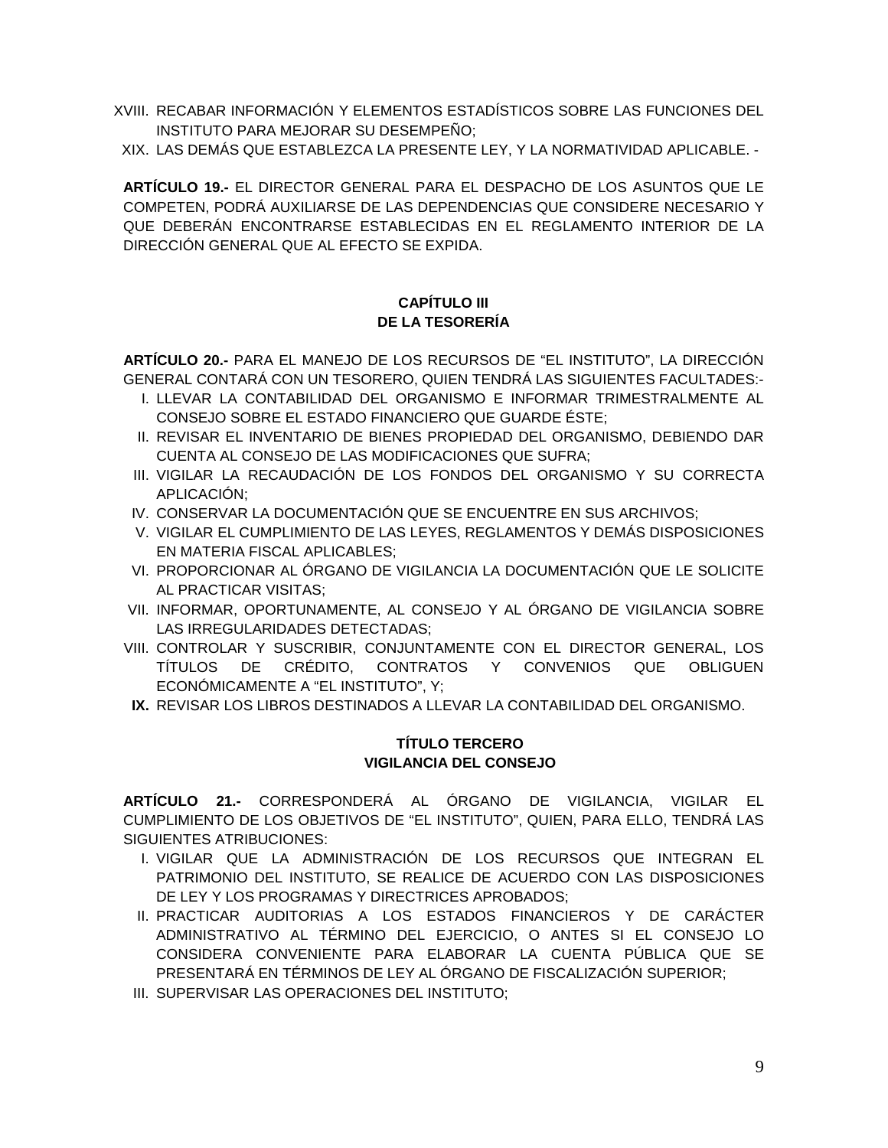- XVIII. RECABAR INFORMACIÓN Y ELEMENTOS ESTADÍSTICOS SOBRE LAS FUNCIONES DEL INSTITUTO PARA MEJORAR SU DESEMPEÑO;
- XIX. LAS DEMÁS QUE ESTABLEZCA LA PRESENTE LEY, Y LA NORMATIVIDAD APLICABLE. -

**ARTÍCULO 19.-** EL DIRECTOR GENERAL PARA EL DESPACHO DE LOS ASUNTOS QUE LE COMPETEN, PODRÁ AUXILIARSE DE LAS DEPENDENCIAS QUE CONSIDERE NECESARIO Y QUE DEBERÁN ENCONTRARSE ESTABLECIDAS EN EL REGLAMENTO INTERIOR DE LA DIRECCIÓN GENERAL QUE AL EFECTO SE EXPIDA.

### **CAPÍTULO III DE LA TESORERÍA**

**ARTÍCULO 20.-** PARA EL MANEJO DE LOS RECURSOS DE "EL INSTITUTO", LA DIRECCIÓN GENERAL CONTARÁ CON UN TESORERO, QUIEN TENDRÁ LAS SIGUIENTES FACULTADES:-

- I. LLEVAR LA CONTABILIDAD DEL ORGANISMO E INFORMAR TRIMESTRALMENTE AL CONSEJO SOBRE EL ESTADO FINANCIERO QUE GUARDE ÉSTE;
- II. REVISAR EL INVENTARIO DE BIENES PROPIEDAD DEL ORGANISMO, DEBIENDO DAR CUENTA AL CONSEJO DE LAS MODIFICACIONES QUE SUFRA;
- III. VIGILAR LA RECAUDACIÓN DE LOS FONDOS DEL ORGANISMO Y SU CORRECTA APLICACIÓN;
- IV. CONSERVAR LA DOCUMENTACIÓN QUE SE ENCUENTRE EN SUS ARCHIVOS;
- V. VIGILAR EL CUMPLIMIENTO DE LAS LEYES, REGLAMENTOS Y DEMÁS DISPOSICIONES EN MATERIA FISCAL APLICABLES;
- VI. PROPORCIONAR AL ÓRGANO DE VIGILANCIA LA DOCUMENTACIÓN QUE LE SOLICITE AL PRACTICAR VISITAS;
- VII. INFORMAR, OPORTUNAMENTE, AL CONSEJO Y AL ÓRGANO DE VIGILANCIA SOBRE LAS IRREGULARIDADES DETECTADAS;
- VIII. CONTROLAR Y SUSCRIBIR, CONJUNTAMENTE CON EL DIRECTOR GENERAL, LOS TÍTULOS DE CRÉDITO, CONTRATOS Y CONVENIOS QUE OBLIGUEN ECONÓMICAMENTE A "EL INSTITUTO", Y;
- **IX.** REVISAR LOS LIBROS DESTINADOS A LLEVAR LA CONTABILIDAD DEL ORGANISMO.

#### **TÍTULO TERCERO VIGILANCIA DEL CONSEJO**

**ARTÍCULO 21.-** CORRESPONDERÁ AL ÓRGANO DE VIGILANCIA, VIGILAR EL CUMPLIMIENTO DE LOS OBJETIVOS DE "EL INSTITUTO", QUIEN, PARA ELLO, TENDRÁ LAS SIGUIENTES ATRIBUCIONES:

- I. VIGILAR QUE LA ADMINISTRACIÓN DE LOS RECURSOS QUE INTEGRAN EL PATRIMONIO DEL INSTITUTO, SE REALICE DE ACUERDO CON LAS DISPOSICIONES DE LEY Y LOS PROGRAMAS Y DIRECTRICES APROBADOS;
- II. PRACTICAR AUDITORIAS A LOS ESTADOS FINANCIEROS Y DE CARÁCTER ADMINISTRATIVO AL TÉRMINO DEL EJERCICIO, O ANTES SI EL CONSEJO LO CONSIDERA CONVENIENTE PARA ELABORAR LA CUENTA PÚBLICA QUE SE PRESENTARÁ EN TÉRMINOS DE LEY AL ÓRGANO DE FISCALIZACIÓN SUPERIOR;
- III. SUPERVISAR LAS OPERACIONES DEL INSTITUTO;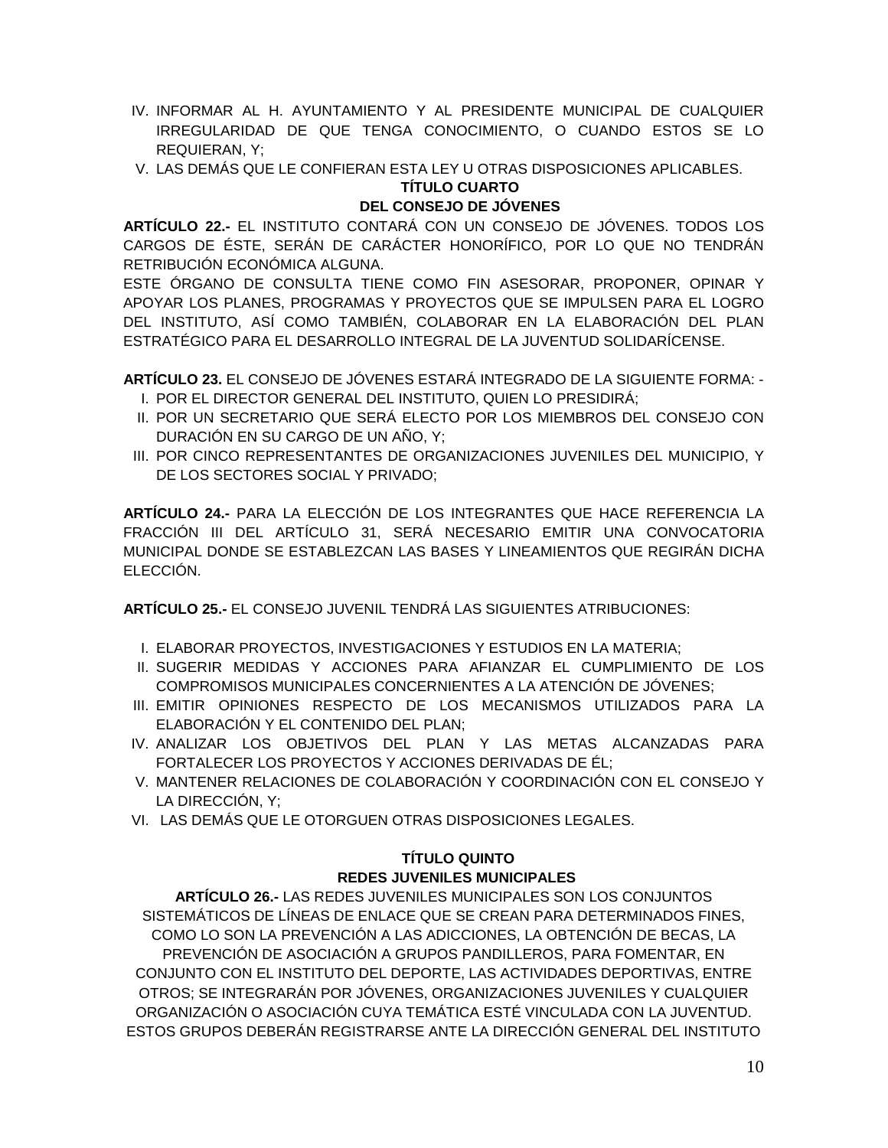- IV. INFORMAR AL H. AYUNTAMIENTO Y AL PRESIDENTE MUNICIPAL DE CUALQUIER IRREGULARIDAD DE QUE TENGA CONOCIMIENTO, O CUANDO ESTOS SE LO REQUIERAN, Y;
- V. LAS DEMÁS QUE LE CONFIERAN ESTA LEY U OTRAS DISPOSICIONES APLICABLES.

### **TÍTULO CUARTO**

#### **DEL CONSEJO DE JÓVENES**

**ARTÍCULO 22.-** EL INSTITUTO CONTARÁ CON UN CONSEJO DE JÓVENES. TODOS LOS CARGOS DE ÉSTE, SERÁN DE CARÁCTER HONORÍFICO, POR LO QUE NO TENDRÁN RETRIBUCIÓN ECONÓMICA ALGUNA.

ESTE ÓRGANO DE CONSULTA TIENE COMO FIN ASESORAR, PROPONER, OPINAR Y APOYAR LOS PLANES, PROGRAMAS Y PROYECTOS QUE SE IMPULSEN PARA EL LOGRO DEL INSTITUTO, ASÍ COMO TAMBIÉN, COLABORAR EN LA ELABORACIÓN DEL PLAN ESTRATÉGICO PARA EL DESARROLLO INTEGRAL DE LA JUVENTUD SOLIDARÍCENSE.

**ARTÍCULO 23.** EL CONSEJO DE JÓVENES ESTARÁ INTEGRADO DE LA SIGUIENTE FORMA: - I. POR EL DIRECTOR GENERAL DEL INSTITUTO, QUIEN LO PRESIDIRÁ;

- II. POR UN SECRETARIO QUE SERÁ ELECTO POR LOS MIEMBROS DEL CONSEJO CON DURACIÓN EN SU CARGO DE UN AÑO, Y;
- III. POR CINCO REPRESENTANTES DE ORGANIZACIONES JUVENILES DEL MUNICIPIO, Y DE LOS SECTORES SOCIAL Y PRIVADO;

**ARTÍCULO 24.-** PARA LA ELECCIÓN DE LOS INTEGRANTES QUE HACE REFERENCIA LA FRACCIÓN III DEL ARTÍCULO 31, SERÁ NECESARIO EMITIR UNA CONVOCATORIA MUNICIPAL DONDE SE ESTABLEZCAN LAS BASES Y LINEAMIENTOS QUE REGIRÁN DICHA ELECCIÓN.

**ARTÍCULO 25.-** EL CONSEJO JUVENIL TENDRÁ LAS SIGUIENTES ATRIBUCIONES:

- I. ELABORAR PROYECTOS, INVESTIGACIONES Y ESTUDIOS EN LA MATERIA;
- II. SUGERIR MEDIDAS Y ACCIONES PARA AFIANZAR EL CUMPLIMIENTO DE LOS COMPROMISOS MUNICIPALES CONCERNIENTES A LA ATENCIÓN DE JÓVENES;
- III. EMITIR OPINIONES RESPECTO DE LOS MECANISMOS UTILIZADOS PARA LA ELABORACIÓN Y EL CONTENIDO DEL PLAN;
- IV. ANALIZAR LOS OBJETIVOS DEL PLAN Y LAS METAS ALCANZADAS PARA FORTALECER LOS PROYECTOS Y ACCIONES DERIVADAS DE ÉL;
- V. MANTENER RELACIONES DE COLABORACIÓN Y COORDINACIÓN CON EL CONSEJO Y LA DIRECCIÓN, Y;
- VI. LAS DEMÁS QUE LE OTORGUEN OTRAS DISPOSICIONES LEGALES.

## **TÍTULO QUINTO REDES JUVENILES MUNICIPALES**

**ARTÍCULO 26.-** LAS REDES JUVENILES MUNICIPALES SON LOS CONJUNTOS SISTEMÁTICOS DE LÍNEAS DE ENLACE QUE SE CREAN PARA DETERMINADOS FINES, COMO LO SON LA PREVENCIÓN A LAS ADICCIONES, LA OBTENCIÓN DE BECAS, LA PREVENCIÓN DE ASOCIACIÓN A GRUPOS PANDILLEROS, PARA FOMENTAR, EN CONJUNTO CON EL INSTITUTO DEL DEPORTE, LAS ACTIVIDADES DEPORTIVAS, ENTRE OTROS; SE INTEGRARÁN POR JÓVENES, ORGANIZACIONES JUVENILES Y CUALQUIER ORGANIZACIÓN O ASOCIACIÓN CUYA TEMÁTICA ESTÉ VINCULADA CON LA JUVENTUD. ESTOS GRUPOS DEBERÁN REGISTRARSE ANTE LA DIRECCIÓN GENERAL DEL INSTITUTO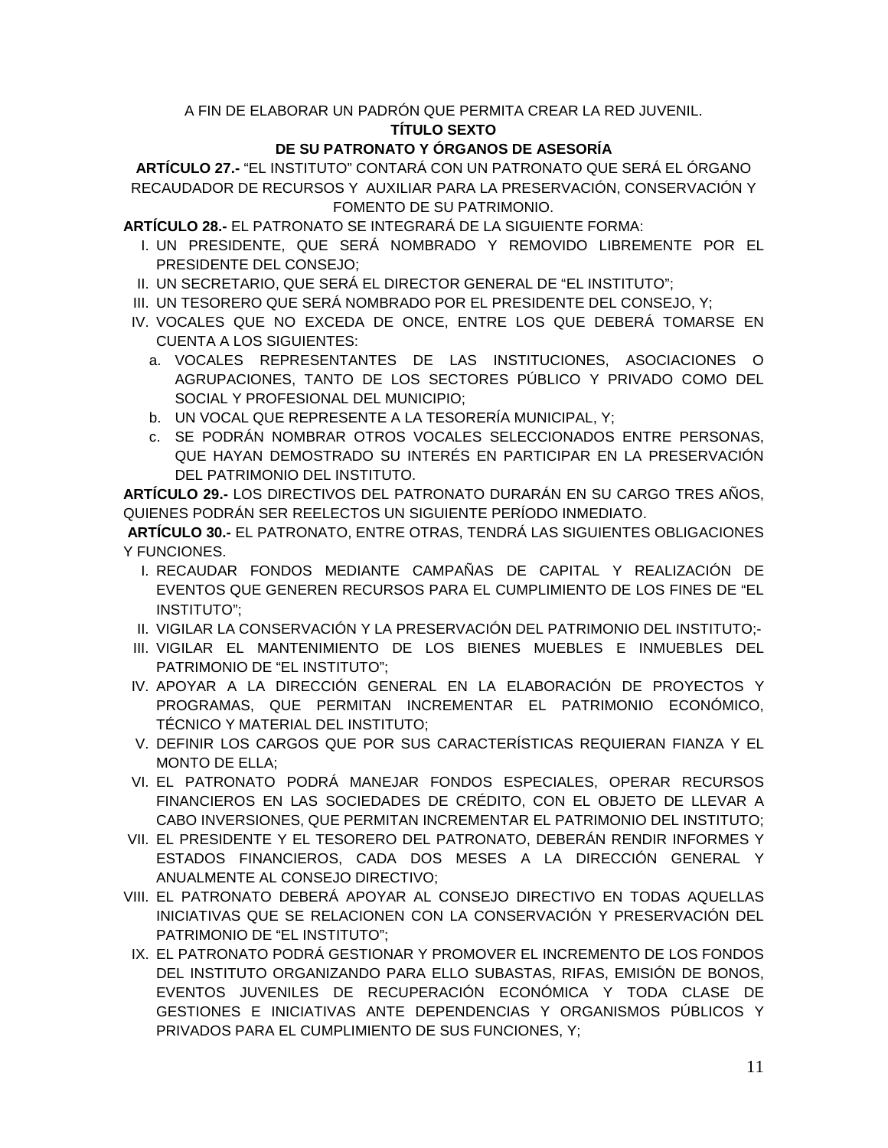#### A FIN DE ELABORAR UN PADRÓN QUE PERMITA CREAR LA RED JUVENIL. **TÍTULO SEXTO**

### **DE SU PATRONATO Y ÓRGANOS DE ASESORÍA**

**ARTÍCULO 27.-** "EL INSTITUTO" CONTARÁ CON UN PATRONATO QUE SERÁ EL ÓRGANO RECAUDADOR DE RECURSOS Y AUXILIAR PARA LA PRESERVACIÓN, CONSERVACIÓN Y FOMENTO DE SU PATRIMONIO.

**ARTÍCULO 28.-** EL PATRONATO SE INTEGRARÁ DE LA SIGUIENTE FORMA:

- I. UN PRESIDENTE, QUE SERÁ NOMBRADO Y REMOVIDO LIBREMENTE POR EL PRESIDENTE DEL CONSEJO;
- II. UN SECRETARIO, QUE SERÁ EL DIRECTOR GENERAL DE "EL INSTITUTO";
- III. UN TESORERO QUE SERÁ NOMBRADO POR EL PRESIDENTE DEL CONSEJO, Y;
- IV. VOCALES QUE NO EXCEDA DE ONCE, ENTRE LOS QUE DEBERÁ TOMARSE EN CUENTA A LOS SIGUIENTES:
	- a. VOCALES REPRESENTANTES DE LAS INSTITUCIONES, ASOCIACIONES O AGRUPACIONES, TANTO DE LOS SECTORES PÚBLICO Y PRIVADO COMO DEL SOCIAL Y PROFESIONAL DEL MUNICIPIO;
	- b. UN VOCAL QUE REPRESENTE A LA TESORERÍA MUNICIPAL, Y;
	- c. SE PODRÁN NOMBRAR OTROS VOCALES SELECCIONADOS ENTRE PERSONAS, QUE HAYAN DEMOSTRADO SU INTERÉS EN PARTICIPAR EN LA PRESERVACIÓN DEL PATRIMONIO DEL INSTITUTO.

**ARTÍCULO 29.-** LOS DIRECTIVOS DEL PATRONATO DURARÁN EN SU CARGO TRES AÑOS, QUIENES PODRÁN SER REELECTOS UN SIGUIENTE PERÍODO INMEDIATO.

**ARTÍCULO 30.-** EL PATRONATO, ENTRE OTRAS, TENDRÁ LAS SIGUIENTES OBLIGACIONES Y FUNCIONES.

- I. RECAUDAR FONDOS MEDIANTE CAMPAÑAS DE CAPITAL Y REALIZACIÓN DE EVENTOS QUE GENEREN RECURSOS PARA EL CUMPLIMIENTO DE LOS FINES DE "EL INSTITUTO";
- II. VIGILAR LA CONSERVACIÓN Y LA PRESERVACIÓN DEL PATRIMONIO DEL INSTITUTO;-
- III. VIGILAR EL MANTENIMIENTO DE LOS BIENES MUEBLES E INMUEBLES DEL PATRIMONIO DE "EL INSTITUTO";
- IV. APOYAR A LA DIRECCIÓN GENERAL EN LA ELABORACIÓN DE PROYECTOS Y PROGRAMAS, QUE PERMITAN INCREMENTAR EL PATRIMONIO ECONÓMICO, TÉCNICO Y MATERIAL DEL INSTITUTO;
- V. DEFINIR LOS CARGOS QUE POR SUS CARACTERÍSTICAS REQUIERAN FIANZA Y EL MONTO DE ELLA;
- VI. EL PATRONATO PODRÁ MANEJAR FONDOS ESPECIALES, OPERAR RECURSOS FINANCIEROS EN LAS SOCIEDADES DE CRÉDITO, CON EL OBJETO DE LLEVAR A CABO INVERSIONES, QUE PERMITAN INCREMENTAR EL PATRIMONIO DEL INSTITUTO;
- VII. EL PRESIDENTE Y EL TESORERO DEL PATRONATO, DEBERÁN RENDIR INFORMES Y ESTADOS FINANCIEROS, CADA DOS MESES A LA DIRECCIÓN GENERAL Y ANUALMENTE AL CONSEJO DIRECTIVO;
- VIII. EL PATRONATO DEBERÁ APOYAR AL CONSEJO DIRECTIVO EN TODAS AQUELLAS INICIATIVAS QUE SE RELACIONEN CON LA CONSERVACIÓN Y PRESERVACIÓN DEL PATRIMONIO DE "EL INSTITUTO";
- IX. EL PATRONATO PODRÁ GESTIONAR Y PROMOVER EL INCREMENTO DE LOS FONDOS DEL INSTITUTO ORGANIZANDO PARA ELLO SUBASTAS, RIFAS, EMISIÓN DE BONOS, EVENTOS JUVENILES DE RECUPERACIÓN ECONÓMICA Y TODA CLASE DE GESTIONES E INICIATIVAS ANTE DEPENDENCIAS Y ORGANISMOS PÚBLICOS Y PRIVADOS PARA EL CUMPLIMIENTO DE SUS FUNCIONES, Y;